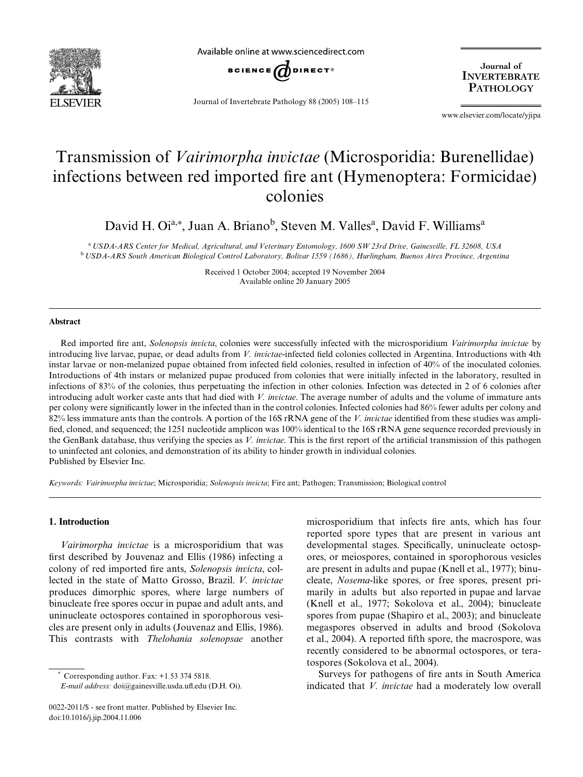

Available online at www.sciencedirect.com



Journal of Invertebrate Pathology 88 (2005) 108–115

Journal of **INVERTEBRATE PATHOLOGY** 

www.elsevier.com/locate/yjipa

# Transmission of *Vairimorpha invictae* (Microsporidia: Burenellidae) infections between red imported fire ant (Hymenoptera: Formicidae) colonies

David H. Oi<sup>a,\*</sup>, Juan A. Briano<sup>b</sup>, Steven M. Valles<sup>a</sup>, David F. Williams<sup>a</sup>

<sup>a</sup>*USDA-ARS Center for Medical, Agricultural, and Veterinary Entomology, 1600 SW 23rd Drive, Gainesville, FL 32608, USA* <sup>b</sup>*USDA-ARS South American Biological Control Laboratory, Bolivar 1559 (1686), Hurlingham, Buenos Aires Province, Argentina*

> Received 1 October 2004; accepted 19 November 2004 Available online 20 January 2005

## **Abstract**

Red imported fire ant, *Solenopsis invicta*, colonies were successfully infected with the microsporidium *Vairimorpha invictae* by introducing live larvae, pupae, or dead adults from *V. invictae*-infected field colonies collected in Argentina. Introductions with 4th instar larvae or non-melanized pupae obtained from infected field colonies, resulted in infection of 40% of the inoculated colonies. Introductions of 4th instars or melanized pupae produced from colonies that were initially infected in the laboratory, resulted in infections of 83% of the colonies, thus perpetuating the infection in other colonies. Infection was detected in 2 of 6 colonies after introducing adult worker caste ants that had died with *V. invictae*. The average number of adults and the volume of immature ants per colony were significantly lower in the infected than in the control colonies. Infected colonies had 86% fewer adults per colony and 82% less immature ants than the controls. A portion of the 16S rRNA gene of the *V. invictae* identified from these studies was amplified, cloned, and sequenced; the 1251 nucleotide amplicon was 100% identical to the 16S rRNA gene sequence recorded previously in the GenBank database, thus verifying the species as *V. invictae*. This is the first report of the artificial transmission of this pathogen to uninfected ant colonies, and demonstration of its ability to hinder growth in individual colonies. Published by Elsevier Inc.

*Keywords: Vairimorpha invictae*; Microsporidia; *Solenopsis invicta*; Fire ant; Pathogen; Transmission; Biological control

## **1. Introduction**

*Vairimorpha invictae* is a microsporidium that was first described by [Jouvenaz and Ellis \(1986\)](#page-7-0) infecting a colony of red imported fire ants, *Solenopsis invicta*, collected in the state of Matto Grosso, Brazil. *V. invictae* produces dimorphic spores, where large numbers of binucleate free spores occur in pupae and adult ants, and uninucleate octospores contained in sporophorous vesicles are present only in adults [\(Jouvenaz and Ellis, 1986\)](#page-7-0). This contrasts with *Thelohania solenopsae* another

Corresponding author. Fax:  $+1$  53 374 5818.

microsporidium that infects fire ants, which has four reported spore types that are present in various ant developmental stages. Specifically, uninucleate octospores, or meiospores, contained in sporophorous vesicles are present in adults and pupae [\(Knell et al., 1977\)](#page-7-1); binucleate, *Nosema*-like spores, or free spores, present primarily in adults but also reported in pupae and larvae ([Knell et al., 1977; Sokolova et al., 2004](#page-7-1)); binucleate spores from pupae [\(Shapiro et al., 2003](#page-7-2)); and binucleate megaspores observed in adults and brood [\(Sokolova](#page-7-3) [et al., 2004](#page-7-3)). A reported fifth spore, the macrospore, was recently considered to be abnormal octospores, or teratospores [\(Sokolova et al., 2004](#page-7-3)).

Surveys for pathogens of fire ants in South America indicated that *V. invictae* had a moderately low overall

*E-mail address:* [doi@gainesville.usda.u](mailto: doi@gainesville.usda.ufl.edu)fl[.edu](mailto: doi@gainesville.usda.ufl.edu) (D.H. Oi).

<sup>0022-2011/\$ -</sup> see front matter. Published by Elsevier Inc. doi:10.1016/j.jip.2004.11.006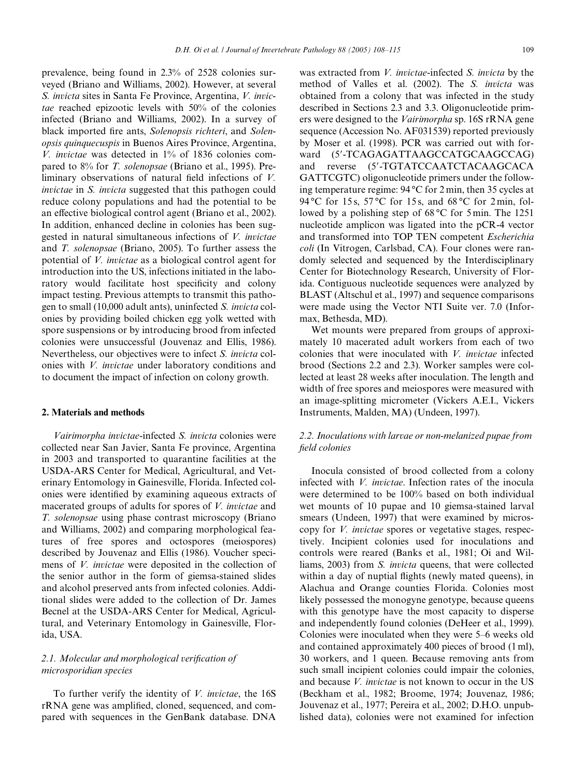prevalence, being found in 2.3% of 2528 colonies surveyed [\(Briano and Williams, 2002\)](#page-7-4). However, at several *S. invicta* sites in Santa Fe Province, Argentina, *V. invictae* reached epizootic levels with 50% of the colonies infected [\(Briano and Williams, 2002](#page-7-4)). In a survey of black imported fire ants, *Solenopsis richteri*, and *Solenopsis quinquecuspis* in Buenos Aires Province, Argentina, *V. invictae* was detected in 1% of 1836 colonies compared to 8% for *T. solenopsae* [\(Briano et al., 1995\)](#page-7-5). Preliminary observations of natural field infections of *V*. *invictae* in *S. invicta* suggested that this pathogen could reduce colony populations and had the potential to be an effective biological control agent ([Briano et al., 2002\)](#page-7-6). In addition, enhanced decline in colonies has been suggested in natural simultaneous infections of *V. invictae* and *T. solenopsae* ([Briano, 2005\)](#page-7-7). To further assess the potential of *V. invictae* as a biological control agent for introduction into the US, infections initiated in the laboratory would facilitate host specificity and colony impact testing. Previous attempts to transmit this pathogen to small (10,000 adult ants), uninfected *S. invicta* colonies by providing boiled chicken egg yolk wetted with spore suspensions or by introducing brood from infected colonies were unsuccessful ([Jouvenaz and Ellis, 1986\)](#page-7-0). Nevertheless, our objectives were to infect *S. invicta* colonies with *V. invictae* under laboratory conditions and to document the impact of infection on colony growth.

## **2. Materials and methods**

*Vairimorpha invictae*-infected *S. invicta* colonies were collected near San Javier, Santa Fe province, Argentina in 2003 and transported to quarantine facilities at the USDA-ARS Center for Medical, Agricultural, and Veterinary Entomology in Gainesville, Florida. Infected colonies were identified by examining aqueous extracts of macerated groups of adults for spores of *V. invictae* and *T. solenopsae* using phase contrast microscopy ([Briano](#page-7-4) [and Williams, 2002](#page-7-4)) and comparing morphological features of free spores and octospores (meiospores) described by [Jouvenaz and Ellis \(1986\)](#page-7-0). Voucher specimens of *V. invictae* were deposited in the collection of the senior author in the form of giemsa-stained slides and alcohol preserved ants from infected colonies. Additional slides were added to the collection of Dr. James Becnel at the USDA-ARS Center for Medical, Agricultural, and Veterinary Entomology in Gainesville, Florida, USA.

# 2.1. Molecular and morphological verification of *microsporidian species*

To further verify the identity of *V. invictae*, the 16S rRNA gene was amplified, cloned, sequenced, and compared with sequences in the GenBank database. DNA was extracted from *V. invictae*-infected *S. invicta* by the method of [Valles et al. \(2002\).](#page-7-8) The *S. invicta* was obtained from a colony that was infected in the study described in Sections [2.3 and 3.3.](#page-2-0) Oligonucleotide primers were designed to the *Vairimorpha* sp. 16S rRNA gene sequence (Accession No. AF031539) reported previously by [Moser et al. \(1998\).](#page-7-9) PCR was carried out with forward (5'-TCAGAGATTAAGCCATGCAAGCCAG) and reverse (5-TGTATCCAATCTACAAGCACA GATTCGTC) oligonucleotide primers under the following temperature regime: 94 °C for 2 min, then 35 cycles at 94 °C for 15 s, 57 °C for 15 s, and 68 °C for 2 min, followed by a polishing step of 68 °C for 5 min. The 1251 nucleotide amplicon was ligated into the pCR-4 vector and transformed into TOP TEN competent *Escherichia coli* (In Vitrogen, Carlsbad, CA). Four clones were randomly selected and sequenced by the Interdisciplinary Center for Biotechnology Research, University of Florida. Contiguous nucleotide sequences were analyzed by BLAST ([Altschul et al., 1997](#page-6-0)) and sequence comparisons were made using the Vector NTI Suite ver. 7.0 (Informax, Bethesda, MD).

Wet mounts were prepared from groups of approximately 10 macerated adult workers from each of two colonies that were inoculated with *V. invictae* infected brood (Sections [2.2 and 2.3](#page-1-0)). Worker samples were collected at least 28 weeks after inoculation. The length and width of free spores and meiospores were measured with an image-splitting micrometer (Vickers A.E.I., Vickers Instruments, Malden, MA) [\(Undeen, 1997\)](#page-7-10).

# <span id="page-1-0"></span>*2.2. Inoculations with larvae or non-melanized pupae from*   $field$ *colonies*

Inocula consisted of brood collected from a colony infected with *V. invictae*. Infection rates of the inocula were determined to be 100% based on both individual wet mounts of 10 pupae and 10 giemsa-stained larval smears [\(Undeen, 1997](#page-7-10)) that were examined by microscopy for *V. invictae* spores or vegetative stages, respectively. Incipient colonies used for inoculations and controls were reared [\(Banks et al., 1981; Oi and Wil](#page-7-11)[liams, 2003](#page-7-11)) from *S. invicta* queens, that were collected within a day of nuptial flights (newly mated queens), in Alachua and Orange counties Florida. Colonies most likely possessed the monogyne genotype, because queens with this genotype have the most capacity to disperse and independently found colonies ([DeHeer et al., 1999\)](#page-7-12). Colonies were inoculated when they were 5–6 weeks old and contained approximately 400 pieces of brood (1 ml), 30 workers, and 1 queen. Because removing ants from such small incipient colonies could impair the colonies, and because *V. invictae* is not known to occur in the US [\(Beckham et al., 1982; Broome, 1974; Jouvenaz, 1986;](#page-7-13) [Jouvenaz et al., 1977; Pereira et al., 2002](#page-7-13); D.H.O. unpublished data), colonies were not examined for infection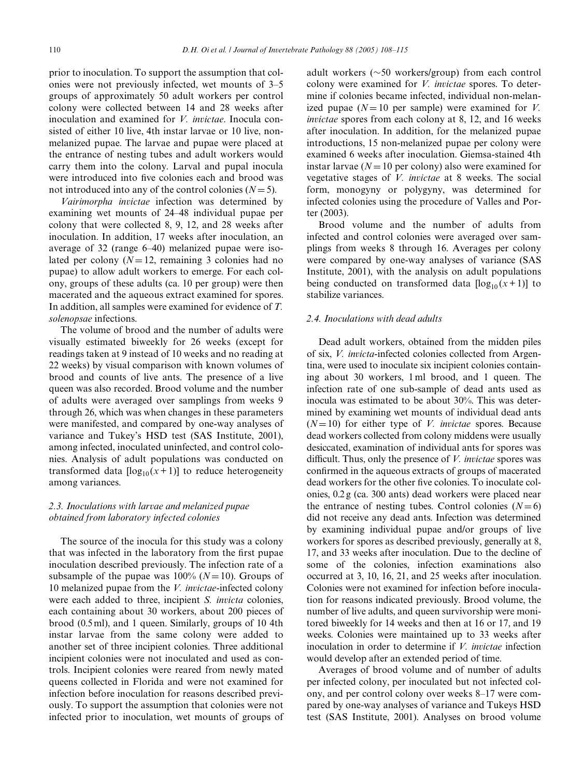prior to inoculation. To support the assumption that colonies were not previously infected, wet mounts of 3–5 groups of approximately 50 adult workers per control colony were collected between 14 and 28 weeks after inoculation and examined for *V. invictae*. Inocula consisted of either 10 live, 4th instar larvae or 10 live, nonmelanized pupae. The larvae and pupae were placed at the entrance of nesting tubes and adult workers would carry them into the colony. Larval and pupal inocula were introduced into five colonies each and brood was not introduced into any of the control colonies  $(N = 5)$ .

*Vairimorpha invictae* infection was determined by examining wet mounts of 24–48 individual pupae per colony that were collected 8, 9, 12, and 28 weeks after inoculation. In addition, 17 weeks after inoculation, an average of 32 (range 6–40) melanized pupae were isolated per colony  $(N=12$ , remaining 3 colonies had no pupae) to allow adult workers to emerge. For each colony, groups of these adults (ca. 10 per group) were then macerated and the aqueous extract examined for spores. In addition, all samples were examined for evidence of *T. solenopsae* infections.

The volume of brood and the number of adults were visually estimated biweekly for 26 weeks (except for readings taken at 9 instead of 10 weeks and no reading at 22 weeks) by visual comparison with known volumes of brood and counts of live ants. The presence of a live queen was also recorded. Brood volume and the number of adults were averaged over samplings from weeks 9 through 26, which was when changes in these parameters were manifested, and compared by one-way analyses of variance and Tukey's HSD test [\(SAS Institute, 2001\)](#page-7-14), among infected, inoculated uninfected, and control colonies. Analysis of adult populations was conducted on transformed data  $\lceil \log_{10}(x+1) \rceil$  to reduce heterogeneity among variances.

# <span id="page-2-0"></span>*2.3. Inoculations with larvae and melanized pupae obtained from laboratory infected colonies*

The source of the inocula for this study was a colony that was infected in the laboratory from the first pupae inoculation described previously. The infection rate of a subsample of the pupae was  $100\%$  ( $N=10$ ). Groups of 10 melanized pupae from the *V. invictae*-infected colony were each added to three, incipient *S. invicta* colonies, each containing about 30 workers, about 200 pieces of brood (0.5 ml), and 1 queen. Similarly, groups of 10 4th instar larvae from the same colony were added to another set of three incipient colonies. Three additional incipient colonies were not inoculated and used as controls. Incipient colonies were reared from newly mated queens collected in Florida and were not examined for infection before inoculation for reasons described previously. To support the assumption that colonies were not infected prior to inoculation, wet mounts of groups of adult workers  $(\sim 50$  workers/group) from each control colony were examined for *V. invictae* spores. To determine if colonies became infected, individual non-melanized pupae  $(N=10$  per sample) were examined for *V*. *invictae* spores from each colony at 8, 12, and 16 weeks after inoculation. In addition, for the melanized pupae introductions, 15 non-melanized pupae per colony were examined 6 weeks after inoculation. Giemsa-stained 4th instar larvae ( $N = 10$  per colony) also were examined for vegetative stages of *V. invictae* at 8 weeks. The social form, monogyny or polygyny, was determined for infected colonies using the procedure of [Valles and Por](#page-7-15)[ter \(2003\)](#page-7-15).

Brood volume and the number of adults from infected and control colonies were averaged over samplings from weeks 8 through 16. Averages per colony were compared by one-way analyses of variance ([SAS](#page-7-14) [Institute, 2001](#page-7-14)), with the analysis on adult populations being conducted on transformed data  $[\log_{10}(x+1)]$  to stabilize variances.

## *2.4. Inoculations with dead adults*

Dead adult workers, obtained from the midden piles of six, *V. invicta*-infected colonies collected from Argentina, were used to inoculate six incipient colonies containing about 30 workers, 1 ml brood, and 1 queen. The infection rate of one sub-sample of dead ants used as inocula was estimated to be about 30%. This was determined by examining wet mounts of individual dead ants  $(N=10)$  for either type of *V. invictae* spores. Because dead workers collected from colony middens were usually desiccated, examination of individual ants for spores was difficult. Thus, only the presence of *V. invictae* spores was confirmed in the aqueous extracts of groups of macerated dead workers for the other five colonies. To inoculate colonies, 0.2 g (ca. 300 ants) dead workers were placed near the entrance of nesting tubes. Control colonies  $(N=6)$ did not receive any dead ants. Infection was determined by examining individual pupae and/or groups of live workers for spores as described previously, generally at 8, 17, and 33 weeks after inoculation. Due to the decline of some of the colonies, infection examinations also occurred at 3, 10, 16, 21, and 25 weeks after inoculation. Colonies were not examined for infection before inoculation for reasons indicated previously. Brood volume, the number of live adults, and queen survivorship were monitored biweekly for 14 weeks and then at 16 or 17, and 19 weeks. Colonies were maintained up to 33 weeks after inoculation in order to determine if *V. invictae* infection would develop after an extended period of time.

Averages of brood volume and of number of adults per infected colony, per inoculated but not infected colony, and per control colony over weeks 8–17 were compared by one-way analyses of variance and Tukeys HSD test [\(SAS Institute, 2001](#page-7-14)). Analyses on brood volume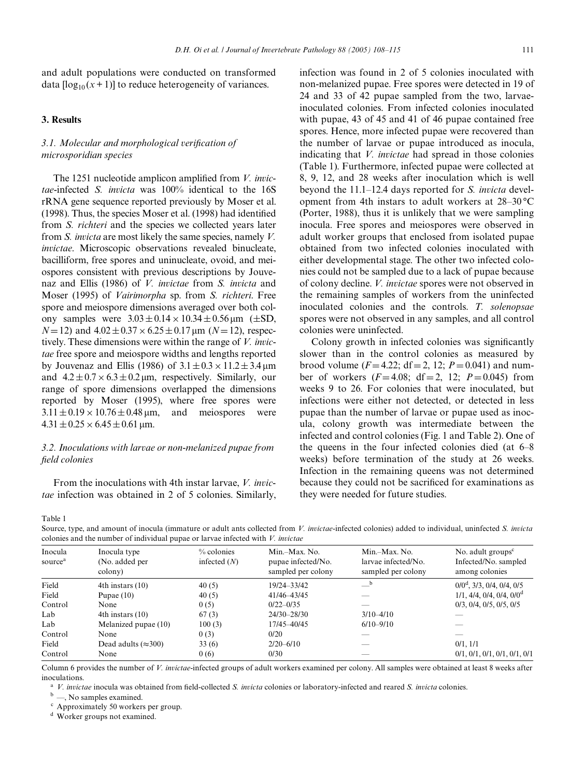and adult populations were conducted on transformed data  $\lceil \log_{10}(x+1) \rceil$  to reduce heterogeneity of variances.

## **3. Results**

# 3.1. Molecular and morphological verification of *microsporidian species*

The 1251 nucleotide amplicon amplified from *V. invictae*-infected *S. invicta* was 100% identical to the 16S rRNA gene sequence reported previously by [Moser et al.](#page-7-9)  $(1998)$ . Thus, the species Moser et al.  $(1998)$  had identified from *S. richteri* and the species we collected years later from *S. invicta* are most likely the same species, namely *V. invictae*. Microscopic observations revealed binucleate, bacilliform, free spores and uninucleate, ovoid, and meiospores consistent with previous descriptions by [Jouve](#page-7-0)[naz and Ellis \(1986\)](#page-7-0) of *V. invictae* from *S. invicta* and [Moser \(1995\)](#page-7-16) of *Vairimorpha* sp. from *S. richteri*. Free spore and meiospore dimensions averaged over both colony samples were  $3.03\pm0.14\times10.34\pm0.56\,\mu\text{m}$  ( $\pm$ SD,  $N=12$ ) and  $4.02\pm0.37\times6.25\pm0.17$  µm ( $N=12$ ), respectively. These dimensions were within the range of *V. invictae* free spore and meiospore widths and lengths reported by [Jouvenaz and Ellis \(1986\)](#page-7-0) of  $3.1 \pm 0.3 \times 11.2 \pm 3.4 \,\text{\textmu m}$ and  $4.2 \pm 0.7 \times 6.3 \pm 0.2 \,\mu$ m, respectively. Similarly, our range of spore dimensions overlapped the dimensions reported by [Moser \(1995\),](#page-7-16) where free spores were  $3.11 \pm 0.19 \times 10.76 \pm 0.48 \,\mu \text{m}$ , and meiospores were  $4.31 \pm 0.25 \times 6.45 \pm 0.61$  µm.

# *3.2. Inoculations with larvae or non-melanized pupae from*   $field$ *colonies*

From the inoculations with 4th instar larvae, *V. invictae* infection was obtained in 2 of 5 colonies. Similarly, infection was found in 2 of 5 colonies inoculated with non-melanized pupae. Free spores were detected in 19 of 24 and 33 of 42 pupae sampled from the two, larvaeinoculated colonies. From infected colonies inoculated with pupae, 43 of 45 and 41 of 46 pupae contained free spores. Hence, more infected pupae were recovered than the number of larvae or pupae introduced as inocula, indicating that *V. invictae* had spread in those colonies [\(Table 1](#page-3-0)). Furthermore, infected pupae were collected at 8, 9, 12, and 28 weeks after inoculation which is well beyond the 11.1–12.4 days reported for *S. invicta* development from 4th instars to adult workers at 28–30 °C [\(Porter, 1988\)](#page-7-17), thus it is unlikely that we were sampling inocula. Free spores and meiospores were observed in adult worker groups that enclosed from isolated pupae obtained from two infected colonies inoculated with either developmental stage. The other two infected colonies could not be sampled due to a lack of pupae because of colony decline. *V. invictae* spores were not observed in the remaining samples of workers from the uninfected inoculated colonies and the controls. *T. solenopsae* spores were not observed in any samples, and all control colonies were uninfected.

Colony growth in infected colonies was significantly slower than in the control colonies as measured by brood volume  $(F=4.22; df=2, 12; P=0.041)$  and number of workers  $(F=4.08; df=2, 12; P=0.045)$  from weeks 9 to 26. For colonies that were inoculated, but infections were either not detected, or detected in less pupae than the number of larvae or pupae used as inocula, colony growth was intermediate between the infected and control colonies [\(Fig. 1](#page-4-0) and [Table 2\)](#page-4-1). One of the queens in the four infected colonies died (at 6–8 weeks) before termination of the study at 26 weeks. Infection in the remaining queens was not determined because they could not be sacrificed for examinations as they were needed for future studies.

<span id="page-3-0"></span>Table 1

Source, type, and amount of inocula (immature or adult ants collected from *V. invictae*-infected colonies) added to individual, uninfected *S. invicta* colonies and the number of individual pupae or larvae infected with *V. invictae*

| colomes and the hanlock of marriagal papae of an the miceted with 77 meterate |                                           |                              |                                                           |                                                            |                                                               |  |  |  |
|-------------------------------------------------------------------------------|-------------------------------------------|------------------------------|-----------------------------------------------------------|------------------------------------------------------------|---------------------------------------------------------------|--|--|--|
| Inocula<br>source <sup>a</sup>                                                | Inocula type<br>(No. added per<br>colony) | % colonies<br>infected $(N)$ | Min.-Max. No.<br>pupae infected/No.<br>sampled per colony | Min.-Max. No.<br>larvae infected/No.<br>sampled per colony | No. adult $groupsc$<br>Infected/No. sampled<br>among colonies |  |  |  |
| Field                                                                         | $4th$ instars $(10)$                      | 40(5)                        | 19/24-33/42                                               | b                                                          | $0/0^d$ , 3/3, 0/4, 0/4, 0/5                                  |  |  |  |
| Field                                                                         | Pupae $(10)$                              | 40(5)                        | 41/46-43/45                                               |                                                            | 1/1, 4/4, 0/4, 0/4, 0/0 <sup>d</sup>                          |  |  |  |
| Control                                                                       | None                                      | 0(5)                         | $0/22 - 0/35$                                             |                                                            | $0/3$ , $0/4$ , $0/5$ , $0/5$ , $0/5$                         |  |  |  |
| Lab                                                                           | 4th instars $(10)$                        | 67(3)                        | $24/30 - 28/30$                                           | $3/10 - 4/10$                                              |                                                               |  |  |  |
| Lab                                                                           | Melanized pupae (10)                      | 100(3)                       | 17/45-40/45                                               | $6/10 - 9/10$                                              |                                                               |  |  |  |
| Control                                                                       | None                                      | 0(3)                         | 0/20                                                      |                                                            |                                                               |  |  |  |
| Field                                                                         | Dead adults $(\approx 300)$               | 33(6)                        | $2/20 - 6/10$                                             |                                                            | $0/1$ , $1/1$                                                 |  |  |  |
| Control                                                                       | None                                      | 0(6)                         | 0/30                                                      |                                                            | 0/1, 0/1, 0/1, 0/1, 0/1, 0/1                                  |  |  |  |
|                                                                               |                                           |                              |                                                           |                                                            |                                                               |  |  |  |

Column 6 provides the number of *V. invictae*-infected groups of adult workers examined per colony. All samples were obtained at least 8 weeks after inoculations.

<sup>a</sup> *V. invictae* inocula was obtained from field-collected *S. invicta* colonies or laboratory-infected and reared *S. invicta* colonies.

<sup>b</sup> —, No samples examined.

<sup>c</sup> Approximately 50 workers per group.

<sup>d</sup> Worker groups not examined.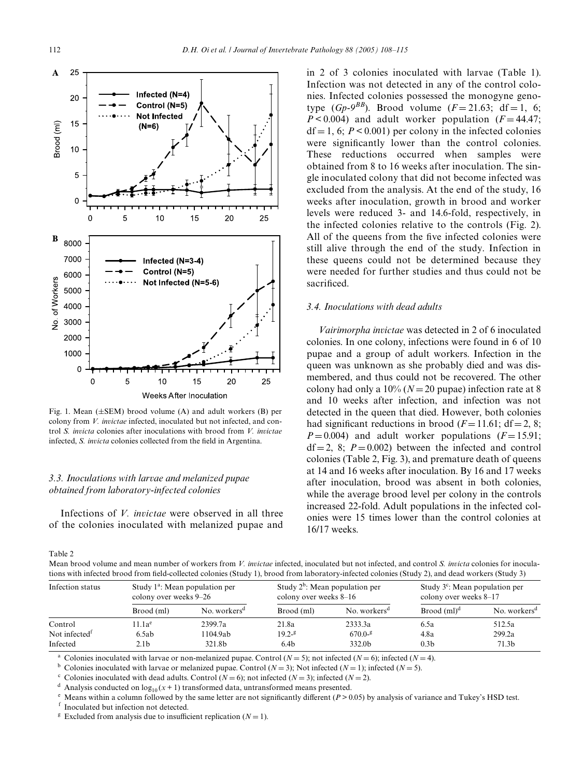

<span id="page-4-0"></span>Fig. 1. Mean  $(\pm SEM)$  brood volume (A) and adult workers (B) per colony from *V. invictae* infected, inoculated but not infected, and control *S. invicta* colonies after inoculations with brood from *V. invictae* infected, *S. invicta* colonies collected from the field in Argentina.

# *3.3. Inoculations with larvae and melanized pupae obtained from laboratory-infected colonies*

Infections of *V. invictae* were observed in all three of the colonies inoculated with melanized pupae and

in 2 of 3 colonies inoculated with larvae ([Table 1](#page-3-0)). Infection was not detected in any of the control colonies. Infected colonies possessed the monogyne genotype  $(Gp-9^{BB})$ . Brood volume  $(F = 21.63; df = 1, 6;$  $P < 0.004$ ) and adult worker population ( $F = 44.47$ ;  $df = 1, 6; P < 0.001$  per colony in the infected colonies were significantly lower than the control colonies. These reductions occurred when samples were obtained from 8 to 16 weeks after inoculation. The single inoculated colony that did not become infected was excluded from the analysis. At the end of the study, 16 weeks after inoculation, growth in brood and worker levels were reduced 3- and 14.6-fold, respectively, in the infected colonies relative to the controls ([Fig. 2](#page-5-0)). All of the queens from the five infected colonies were still alive through the end of the study. Infection in these queens could not be determined because they were needed for further studies and thus could not be sacrificed.

## *3.4. Inoculations with dead adults*

*Vairimorpha invictae* was detected in 2 of 6 inoculated colonies. In one colony, infections were found in 6 of 10 pupae and a group of adult workers. Infection in the queen was unknown as she probably died and was dismembered, and thus could not be recovered. The other colony had only a  $10\%$  ( $N=20$  pupae) infection rate at 8 and 10 weeks after infection, and infection was not detected in the queen that died. However, both colonies had significant reductions in brood  $(F=11.61; df=2, 8;$  $P=0.004$ ) and adult worker populations ( $F=15.91$ ;  $df = 2$ , 8;  $P = 0.002$ ) between the infected and control colonies ([Table 2](#page-4-1), [Fig. 3\)](#page-5-1), and premature death of queens at 14 and 16 weeks after inoculation. By 16 and 17 weeks after inoculation, brood was absent in both colonies, while the average brood level per colony in the controls increased 22-fold. Adult populations in the infected colonies were 15 times lower than the control colonies at 16/17 weeks.

<span id="page-4-1"></span>Table 2

Mean brood volume and mean number of workers from *V. invictae* infected, inoculated but not infected, and control *S. invicta* colonies for inoculations with infected brood from field-collected colonies (Study 1), brood from laboratory-infected colonies (Study 2), and dead workers (Study 3)

| Infection status          | Study $1^a$ : Mean population per<br>colony over weeks 9–26 |                          | Study $2^b$ : Mean population per<br>colony over weeks 8–16 |                          | Study $3^c$ : Mean population per<br>colony over weeks 8-17 |                          |
|---------------------------|-------------------------------------------------------------|--------------------------|-------------------------------------------------------------|--------------------------|-------------------------------------------------------------|--------------------------|
|                           | Brood (ml)                                                  | No. workers <sup>d</sup> | Brood (ml)                                                  | No. workers <sup>d</sup> | $B$ rood $(ml)^d$                                           | No. workers <sup>d</sup> |
| Control                   | 11.1a <sup>e</sup>                                          | 2399.7a                  | 21.8a                                                       | 2333.3a                  | 6.5a                                                        | 512.5a                   |
| Not infected <sup>t</sup> | 6.5ab                                                       | 1104.9ab                 | $19.2 -$ <sup>g</sup>                                       | $670.0 -$ <sup>g</sup>   | 4.8a                                                        | 299.2a                   |
| Infected                  | 2.1b                                                        | 321.8b                   | 6.4 <sub>b</sub>                                            | 332.0b                   | 0.3 <sub>b</sub>                                            | 71.3 <sub>b</sub>        |

Colonies inoculated with larvae or non-melanized pupae. Control  $(N = 5)$ ; not infected  $(N = 6)$ ; infected  $(N = 4)$ .

<sup>b</sup> Colonies inoculated with larvae or melanized pupae. Control  $(N = 3)$ ; Not infected  $(N = 1)$ ; infected  $(N = 5)$ .

<sup>c</sup> Colonies inoculated with dead adults. Control ( $N = 6$ ); not infected ( $N = 3$ ); infected ( $N = 2$ ).<br><sup>d</sup> Analysis conducted on log<sub>10</sub>( $x + 1$ ) transformed data, untransformed means presented.

 $^{\circ}$  Means within a column followed by the same letter are not significantly different ( $P > 0.05$ ) by analysis of variance and Tukey's HSD test.

<sup>f</sup> Inoculated but infection not detected.

<sup>g</sup> Excluded from analysis due to insufficient replication ( $N = 1$ ).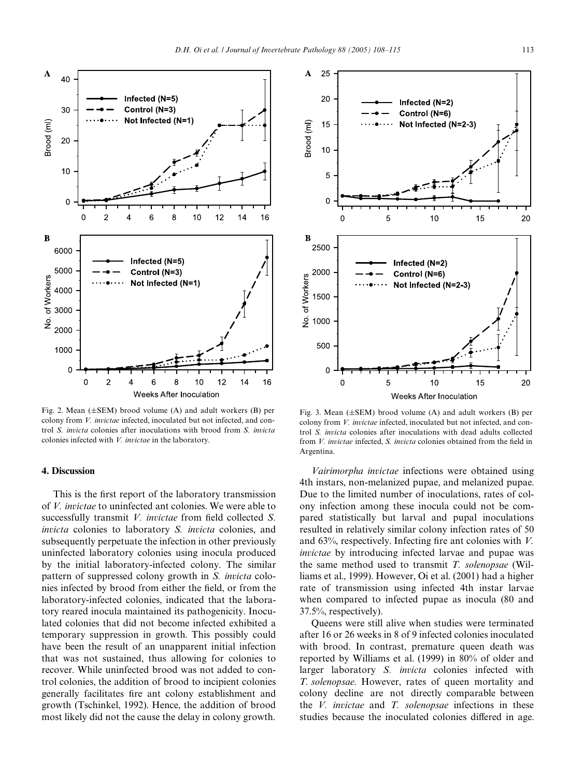

<span id="page-5-0"></span>Fig. 2. Mean  $(\pm$ SEM) brood volume (A) and adult workers (B) per colony from *V. invictae* infected, inoculated but not infected, and control *S. invicta* colonies after inoculations with brood from *S. invicta* colonies infected with *V. invictae* in the laboratory.

#### **4. Discussion**

This is the first report of the laboratory transmission of *V. invictae* to uninfected ant colonies. We were able to successfully transmit *V. invictae* from field collected *S. invicta* colonies to laboratory *S. invicta* colonies, and subsequently perpetuate the infection in other previously uninfected laboratory colonies using inocula produced by the initial laboratory-infected colony. The similar pattern of suppressed colony growth in *S. invicta* colonies infected by brood from either the field, or from the laboratory-infected colonies, indicated that the laboratory reared inocula maintained its pathogenicity. Inoculated colonies that did not become infected exhibited a temporary suppression in growth. This possibly could have been the result of an unapparent initial infection that was not sustained, thus allowing for colonies to recover. While uninfected brood was not added to control colonies, the addition of brood to incipient colonies generally facilitates fire ant colony establishment and growth ([Tschinkel, 1992\)](#page-7-18). Hence, the addition of brood most likely did not the cause the delay in colony growth.



<span id="page-5-1"></span>Fig. 3. Mean  $(\pm$ SEM) brood volume (A) and adult workers (B) per colony from *V. invictae* infected, inoculated but not infected, and control *S. invicta* colonies after inoculations with dead adults collected from *V. invictae* infected, *S. invicta* colonies obtained from the field in Argentina.

*Vairimorpha invictae* infections were obtained using 4th instars, non-melanized pupae, and melanized pupae. Due to the limited number of inoculations, rates of colony infection among these inocula could not be compared statistically but larval and pupal inoculations resulted in relatively similar colony infection rates of 50 and  $63\%$ , respectively. Infecting fire ant colonies with *V*. *invictae* by introducing infected larvae and pupae was the same method used to transmit *T. solenopsae* ([Wil](#page-7-19)[liams et al., 1999\)](#page-7-19). However, [Oi et al. \(2001\)](#page-7-20) had a higher rate of transmission using infected 4th instar larvae when compared to infected pupae as inocula (80 and 37.5%, respectively).

Queens were still alive when studies were terminated after 16 or 26 weeks in 8 of 9 infected colonies inoculated with brood. In contrast, premature queen death was reported by [Williams et al. \(1999\)](#page-7-19) in 80% of older and larger laboratory *S. invicta* colonies infected with *T. solenopsae*. However, rates of queen mortality and colony decline are not directly comparable between the *V. invictae* and *T. solenopsae* infections in these studies because the inoculated colonies differed in age.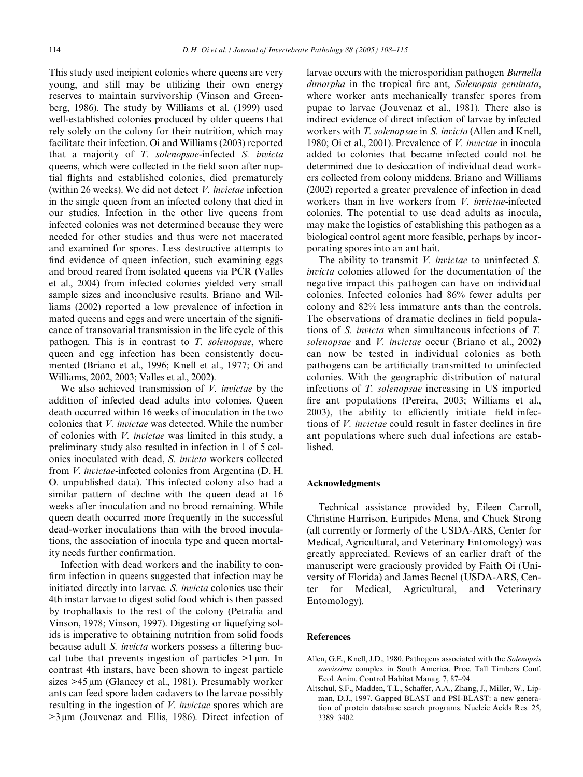This study used incipient colonies where queens are very young, and still may be utilizing their own energy reserves to maintain survivorship [\(Vinson and Green](#page-7-21)[berg, 1986\)](#page-7-21). The study by [Williams et al. \(1999\)](#page-7-19) used well-established colonies produced by older queens that rely solely on the colony for their nutrition, which may facilitate their infection. [Oi and Williams \(2003\)](#page-7-22) reported that a majority of *T. solenopsae*-infected *S. invicta* queens, which were collected in the field soon after nuptial flights and established colonies, died prematurely (within 26 weeks). We did not detect *V. invictae* infection in the single queen from an infected colony that died in our studies. Infection in the other live queens from infected colonies was not determined because they were needed for other studies and thus were not macerated and examined for spores. Less destructive attempts to find evidence of queen infection, such examining eggs and brood reared from isolated queens via PCR ([Valles](#page-7-23) [et al., 2004\)](#page-7-23) from infected colonies yielded very small sample sizes and inconclusive results. [Briano and Wil](#page-7-4)[liams \(2002\)](#page-7-4) reported a low prevalence of infection in mated queens and eggs and were uncertain of the significance of transovarial transmission in the life cycle of this pathogen. This is in contrast to *T. solenopsae*, where queen and egg infection has been consistently documented ([Briano et al., 1996; Knell et al., 1977; Oi and](#page-7-24) [Williams, 2002, 2003; Valles et al., 2002](#page-7-24)).

We also achieved transmission of *V. invictae* by the addition of infected dead adults into colonies. Queen death occurred within 16 weeks of inoculation in the two colonies that *V. invictae* was detected. While the number of colonies with *V. invictae* was limited in this study, a preliminary study also resulted in infection in 1 of 5 colonies inoculated with dead, *S. invicta* workers collected from *V. invictae*-infected colonies from Argentina (D. H. O. unpublished data). This infected colony also had a similar pattern of decline with the queen dead at 16 weeks after inoculation and no brood remaining. While queen death occurred more frequently in the successful dead-worker inoculations than with the brood inoculations, the association of inocula type and queen mortality needs further confirmation.

Infection with dead workers and the inability to confirm infection in queens suggested that infection may be initiated directly into larvae. *S. invicta* colonies use their 4th instar larvae to digest solid food which is then passed by trophallaxis to the rest of the colony [\(Petralia and](#page-7-25) [Vinson, 1978; Vinson, 1997](#page-7-25)). Digesting or liquefying solids is imperative to obtaining nutrition from solid foods because adult *S. invicta* workers possess a filtering buccal tube that prevents ingestion of particles  $>1 \mu m$ . In contrast 4th instars, have been shown to ingest particle sizes  $>45 \mu m$  [\(Glancey et al., 1981\)](#page-7-26). Presumably worker ants can feed spore laden cadavers to the larvae possibly resulting in the ingestion of *V. invictae* spores which are  $>3 \mu m$  ([Jouvenaz and Ellis, 1986](#page-7-0)). Direct infection of larvae occurs with the microsporidian pathogen *Burnella dimorpha* in the tropical fire ant, *Solenopsis geminata*, where worker ants mechanically transfer spores from pupae to larvae [\(Jouvenaz et al., 1981\)](#page-7-27). There also is indirect evidence of direct infection of larvae by infected workers with *T. solenopsae* in *S. invicta* [\(Allen and Knell,](#page-6-1) [1980; Oi et al., 2001](#page-6-1)). Prevalence of *V. invictae* in inocula added to colonies that became infected could not be determined due to desiccation of individual dead workers collected from colony middens. [Briano and Williams](#page-7-4) [\(2002\)](#page-7-4) reported a greater prevalence of infection in dead workers than in live workers from *V. invictae*-infected colonies. The potential to use dead adults as inocula, may make the logistics of establishing this pathogen as a biological control agent more feasible, perhaps by incorporating spores into an ant bait.

The ability to transmit *V. invictae* to uninfected *S. invicta* colonies allowed for the documentation of the negative impact this pathogen can have on individual colonies. Infected colonies had 86% fewer adults per colony and 82% less immature ants than the controls. The observations of dramatic declines in field populations of *S. invicta* when simultaneous infections of *T. solenopsae* and *V. invictae* occur [\(Briano et al., 2002](#page-7-6)) can now be tested in individual colonies as both pathogens can be artificially transmitted to uninfected colonies. With the geographic distribution of natural infections of *T. solenopsae* increasing in US imported fire ant populations [\(Pereira, 2003; Williams et al.,](#page-7-28) [2003\)](#page-7-28), the ability to efficiently initiate field infections of *V. invictae* could result in faster declines in fire ant populations where such dual infections are established.

## **Acknowledgments**

Technical assistance provided by, Eileen Carroll, Christine Harrison, Euripides Mena, and Chuck Strong (all currently or formerly of the USDA-ARS, Center for Medical, Agricultural, and Veterinary Entomology) was greatly appreciated. Reviews of an earlier draft of the manuscript were graciously provided by Faith Oi (University of Florida) and James Becnel (USDA-ARS, Center for Medical, Agricultural, and Veterinary Entomology).

#### **References**

- <span id="page-6-1"></span>Allen, G.E., Knell, J.D., 1980. Pathogens associated with the *Solenopsis saevissima* complex in South America. Proc. Tall Timbers Conf. Ecol. Anim. Control Habitat Manag. 7, 87–94.
- <span id="page-6-0"></span>Altschul, S.F., Madden, T.L., Schaffer, A.A., Zhang, J., Miller, W., Lipman, D.J., 1997. Gapped BLAST and PSI-BLAST: a new generation of protein database search programs. Nucleic Acids Res. 25, 3389–3402.